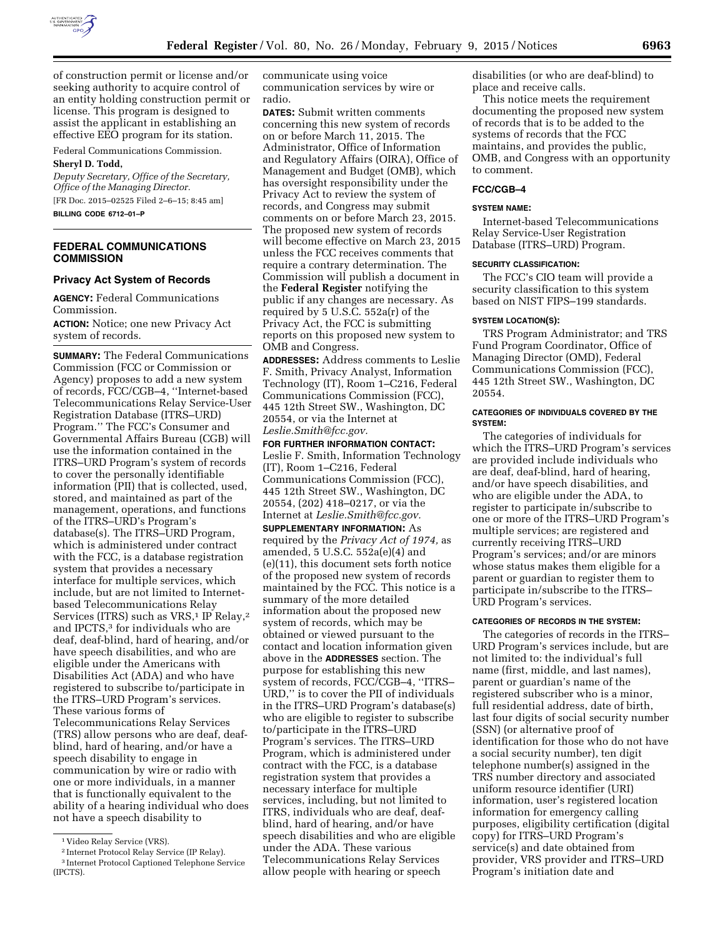

of construction permit or license and/or seeking authority to acquire control of an entity holding construction permit or license. This program is designed to assist the applicant in establishing an effective EEO program for its station.

Federal Communications Commission.

## **Sheryl D. Todd,**

*Deputy Secretary, Office of the Secretary, Office of the Managing Director.*  [FR Doc. 2015–02525 Filed 2–6–15; 8:45 am] **BILLING CODE 6712–01–P** 

**FEDERAL COMMUNICATIONS COMMISSION** 

# **Privacy Act System of Records**

**AGENCY:** Federal Communications Commission.

**ACTION:** Notice; one new Privacy Act system of records.

**SUMMARY:** The Federal Communications Commission (FCC or Commission or Agency) proposes to add a new system of records, FCC/CGB–4, ''Internet-based Telecommunications Relay Service-User Registration Database (ITRS–URD) Program.'' The FCC's Consumer and Governmental Affairs Bureau (CGB) will use the information contained in the ITRS–URD Program's system of records to cover the personally identifiable information (PII) that is collected, used, stored, and maintained as part of the management, operations, and functions of the ITRS–URD's Program's database(s). The ITRS–URD Program, which is administered under contract with the FCC, is a database registration system that provides a necessary interface for multiple services, which include, but are not limited to Internetbased Telecommunications Relay Services (ITRS) such as VRS,<sup>1</sup> IP Relay,<sup>2</sup> and IPCTS,<sup>3</sup> for individuals who are deaf, deaf-blind, hard of hearing, and/or have speech disabilities, and who are eligible under the Americans with Disabilities Act (ADA) and who have registered to subscribe to/participate in the ITRS–URD Program's services. These various forms of Telecommunications Relay Services (TRS) allow persons who are deaf, deafblind, hard of hearing, and/or have a speech disability to engage in communication by wire or radio with one or more individuals, in a manner that is functionally equivalent to the ability of a hearing individual who does not have a speech disability to

communicate using voice communication services by wire or radio.

**DATES:** Submit written comments concerning this new system of records on or before March 11, 2015. The Administrator, Office of Information and Regulatory Affairs (OIRA), Office of Management and Budget (OMB), which has oversight responsibility under the Privacy Act to review the system of records, and Congress may submit comments on or before March 23, 2015. The proposed new system of records will become effective on March 23, 2015 unless the FCC receives comments that require a contrary determination. The Commission will publish a document in the **Federal Register** notifying the public if any changes are necessary. As required by 5 U.S.C. 552a(r) of the Privacy Act, the FCC is submitting reports on this proposed new system to OMB and Congress.

**ADDRESSES:** Address comments to Leslie F. Smith, Privacy Analyst, Information Technology (IT), Room 1–C216, Federal Communications Commission (FCC), 445 12th Street SW., Washington, DC 20554, or via the Internet at *[Leslie.Smith@fcc.gov.](mailto:Leslie.Smith@fcc.gov)* 

**FOR FURTHER INFORMATION CONTACT:**  Leslie F. Smith, Information Technology (IT), Room 1–C216, Federal Communications Commission (FCC), 445 12th Street SW., Washington, DC 20554, (202) 418–0217, or via the Internet at *[Leslie.Smith@fcc.gov.](mailto:Leslie.Smith@fcc.gov)*  **SUPPLEMENTARY INFORMATION:** As required by the *Privacy Act of 1974,* as amended, 5 U.S.C. 552a(e)(4) and (e)(11), this document sets forth notice of the proposed new system of records maintained by the FCC. This notice is a summary of the more detailed information about the proposed new system of records, which may be obtained or viewed pursuant to the contact and location information given above in the **ADDRESSES** section. The purpose for establishing this new system of records, FCC/CGB–4, ''ITRS– URD,'' is to cover the PII of individuals in the ITRS–URD Program's database(s) who are eligible to register to subscribe to/participate in the ITRS–URD Program's services. The ITRS–URD Program, which is administered under

contract with the FCC, is a database registration system that provides a necessary interface for multiple services, including, but not limited to ITRS, individuals who are deaf, deafblind, hard of hearing, and/or have speech disabilities and who are eligible

under the ADA. These various Telecommunications Relay Services allow people with hearing or speech disabilities (or who are deaf-blind) to place and receive calls.

This notice meets the requirement documenting the proposed new system of records that is to be added to the systems of records that the FCC maintains, and provides the public, OMB, and Congress with an opportunity to comment.

# **FCC/CGB–4**

### **SYSTEM NAME:**

Internet-based Telecommunications Relay Service-User Registration Database (ITRS–URD) Program.

### **SECURITY CLASSIFICATION:**

The FCC's CIO team will provide a security classification to this system based on NIST FIPS–199 standards.

### **SYSTEM LOCATION(S):**

TRS Program Administrator; and TRS Fund Program Coordinator, Office of Managing Director (OMD), Federal Communications Commission (FCC), 445 12th Street SW., Washington, DC 20554.

#### **CATEGORIES OF INDIVIDUALS COVERED BY THE SYSTEM:**

The categories of individuals for which the ITRS–URD Program's services are provided include individuals who are deaf, deaf-blind, hard of hearing, and/or have speech disabilities, and who are eligible under the ADA, to register to participate in/subscribe to one or more of the ITRS–URD Program's multiple services; are registered and currently receiving ITRS–URD Program's services; and/or are minors whose status makes them eligible for a parent or guardian to register them to participate in/subscribe to the ITRS– URD Program's services.

## **CATEGORIES OF RECORDS IN THE SYSTEM:**

The categories of records in the ITRS– URD Program's services include, but are not limited to: the individual's full name (first, middle, and last names), parent or guardian's name of the registered subscriber who is a minor, full residential address, date of birth, last four digits of social security number (SSN) (or alternative proof of identification for those who do not have a social security number), ten digit telephone number(s) assigned in the TRS number directory and associated uniform resource identifier (URI) information, user's registered location information for emergency calling purposes, eligibility certification (digital copy) for ITRS–URD Program's service(s) and date obtained from provider, VRS provider and ITRS–URD Program's initiation date and

<sup>1</sup> Video Relay Service (VRS).

<sup>2</sup> Internet Protocol Relay Service (IP Relay).

<sup>3</sup> Internet Protocol Captioned Telephone Service (IPCTS).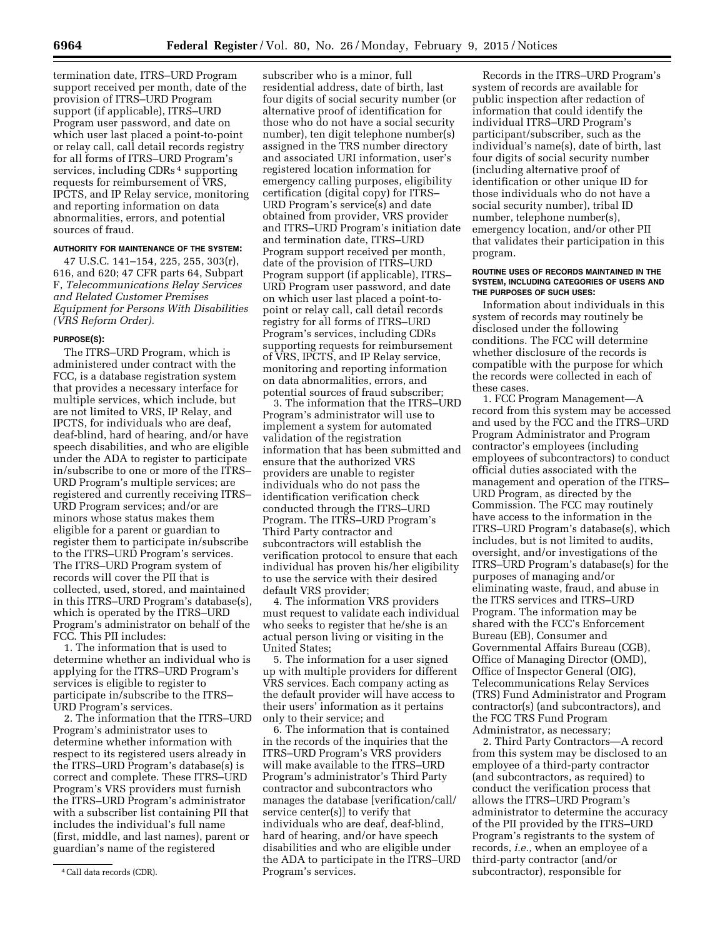termination date, ITRS–URD Program support received per month, date of the provision of ITRS–URD Program support (if applicable), ITRS–URD Program user password, and date on which user last placed a point-to-point or relay call, call detail records registry for all forms of ITRS–URD Program's services, including CDRs<sup>4</sup> supporting requests for reimbursement of VRS, IPCTS, and IP Relay service, monitoring and reporting information on data abnormalities, errors, and potential sources of fraud.

# **AUTHORITY FOR MAINTENANCE OF THE SYSTEM:**

47 U.S.C. 141–154, 225, 255, 303(r), 616, and 620; 47 CFR parts 64, Subpart F, *Telecommunications Relay Services and Related Customer Premises Equipment for Persons With Disabilities (VRS Reform Order).* 

### **PURPOSE(S):**

The ITRS–URD Program, which is administered under contract with the FCC, is a database registration system that provides a necessary interface for multiple services, which include, but are not limited to VRS, IP Relay, and IPCTS, for individuals who are deaf, deaf-blind, hard of hearing, and/or have speech disabilities, and who are eligible under the ADA to register to participate in/subscribe to one or more of the ITRS– URD Program's multiple services; are registered and currently receiving ITRS– URD Program services; and/or are minors whose status makes them eligible for a parent or guardian to register them to participate in/subscribe to the ITRS–URD Program's services. The ITRS–URD Program system of records will cover the PII that is collected, used, stored, and maintained in this ITRS–URD Program's database(s), which is operated by the ITRS–URD Program's administrator on behalf of the FCC. This PII includes:

1. The information that is used to determine whether an individual who is applying for the ITRS–URD Program's services is eligible to register to participate in/subscribe to the ITRS– URD Program's services.

2. The information that the ITRS–URD Program's administrator uses to determine whether information with respect to its registered users already in the ITRS–URD Program's database(s) is correct and complete. These ITRS–URD Program's VRS providers must furnish the ITRS–URD Program's administrator with a subscriber list containing PII that includes the individual's full name (first, middle, and last names), parent or guardian's name of the registered

subscriber who is a minor, full residential address, date of birth, last four digits of social security number (or alternative proof of identification for those who do not have a social security number), ten digit telephone number(s) assigned in the TRS number directory and associated URI information, user's registered location information for emergency calling purposes, eligibility certification (digital copy) for ITRS– URD Program's service(s) and date obtained from provider, VRS provider and ITRS–URD Program's initiation date and termination date, ITRS–URD Program support received per month, date of the provision of ITRS–URD Program support (if applicable), ITRS– URD Program user password, and date on which user last placed a point-topoint or relay call, call detail records registry for all forms of ITRS–URD Program's services, including CDRs supporting requests for reimbursement of VRS, IPCTS, and IP Relay service, monitoring and reporting information on data abnormalities, errors, and potential sources of fraud subscriber;

3. The information that the ITRS–URD Program's administrator will use to implement a system for automated validation of the registration information that has been submitted and ensure that the authorized VRS providers are unable to register individuals who do not pass the identification verification check conducted through the ITRS–URD Program. The ITRS–URD Program's Third Party contractor and subcontractors will establish the verification protocol to ensure that each individual has proven his/her eligibility to use the service with their desired default VRS provider;

4. The information VRS providers must request to validate each individual who seeks to register that he/she is an actual person living or visiting in the United States;

5. The information for a user signed up with multiple providers for different VRS services. Each company acting as the default provider will have access to their users' information as it pertains only to their service; and

6. The information that is contained in the records of the inquiries that the ITRS–URD Program's VRS providers will make available to the ITRS–URD Program's administrator's Third Party contractor and subcontractors who manages the database [verification/call/ service center(s)] to verify that individuals who are deaf, deaf-blind, hard of hearing, and/or have speech disabilities and who are eligible under the ADA to participate in the ITRS–URD Program's services.

Records in the ITRS–URD Program's system of records are available for public inspection after redaction of information that could identify the individual ITRS–URD Program's participant/subscriber, such as the individual's name(s), date of birth, last four digits of social security number (including alternative proof of identification or other unique ID for those individuals who do not have a social security number), tribal ID number, telephone number(s), emergency location, and/or other PII that validates their participation in this program.

#### **ROUTINE USES OF RECORDS MAINTAINED IN THE SYSTEM, INCLUDING CATEGORIES OF USERS AND THE PURPOSES OF SUCH USES:**

Information about individuals in this system of records may routinely be disclosed under the following conditions. The FCC will determine whether disclosure of the records is compatible with the purpose for which the records were collected in each of these cases.

1. FCC Program Management—A record from this system may be accessed and used by the FCC and the ITRS–URD Program Administrator and Program contractor's employees (including employees of subcontractors) to conduct official duties associated with the management and operation of the ITRS– URD Program, as directed by the Commission. The FCC may routinely have access to the information in the ITRS–URD Program's database(s), which includes, but is not limited to audits, oversight, and/or investigations of the ITRS–URD Program's database(s) for the purposes of managing and/or eliminating waste, fraud, and abuse in the ITRS services and ITRS–URD Program. The information may be shared with the FCC's Enforcement Bureau (EB), Consumer and Governmental Affairs Bureau (CGB), Office of Managing Director (OMD), Office of Inspector General (OIG), Telecommunications Relay Services (TRS) Fund Administrator and Program contractor(s) (and subcontractors), and the FCC TRS Fund Program Administrator, as necessary;

2. Third Party Contractors—A record from this system may be disclosed to an employee of a third-party contractor (and subcontractors, as required) to conduct the verification process that allows the ITRS–URD Program's administrator to determine the accuracy of the PII provided by the ITRS–URD Program's registrants to the system of records, *i.e.,* when an employee of a third-party contractor (and/or subcontractor), responsible for

<sup>4</sup>Call data records (CDR).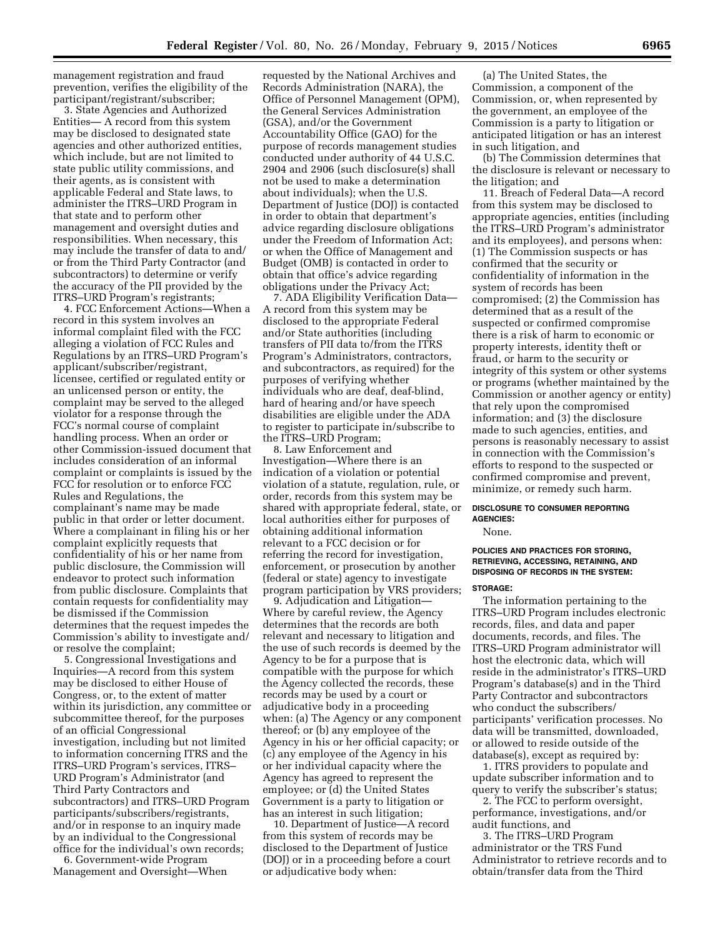management registration and fraud prevention, verifies the eligibility of the participant/registrant/subscriber;

3. State Agencies and Authorized Entities— A record from this system may be disclosed to designated state agencies and other authorized entities, which include, but are not limited to state public utility commissions, and their agents, as is consistent with applicable Federal and State laws, to administer the ITRS–URD Program in that state and to perform other management and oversight duties and responsibilities. When necessary, this may include the transfer of data to and/ or from the Third Party Contractor (and subcontractors) to determine or verify the accuracy of the PII provided by the ITRS–URD Program's registrants;

4. FCC Enforcement Actions—When a record in this system involves an informal complaint filed with the FCC alleging a violation of FCC Rules and Regulations by an ITRS–URD Program's applicant/subscriber/registrant, licensee, certified or regulated entity or an unlicensed person or entity, the complaint may be served to the alleged violator for a response through the FCC's normal course of complaint handling process. When an order or other Commission-issued document that includes consideration of an informal complaint or complaints is issued by the FCC for resolution or to enforce FCC Rules and Regulations, the complainant's name may be made public in that order or letter document. Where a complainant in filing his or her complaint explicitly requests that confidentiality of his or her name from public disclosure, the Commission will endeavor to protect such information from public disclosure. Complaints that contain requests for confidentiality may be dismissed if the Commission determines that the request impedes the Commission's ability to investigate and/ or resolve the complaint;

5. Congressional Investigations and Inquiries—A record from this system may be disclosed to either House of Congress, or, to the extent of matter within its jurisdiction, any committee or subcommittee thereof, for the purposes of an official Congressional investigation, including but not limited to information concerning ITRS and the ITRS–URD Program's services, ITRS– URD Program's Administrator (and Third Party Contractors and subcontractors) and ITRS–URD Program participants/subscribers/registrants, and/or in response to an inquiry made by an individual to the Congressional office for the individual's own records;

6. Government-wide Program Management and Oversight—When

requested by the National Archives and Records Administration (NARA), the Office of Personnel Management (OPM), the General Services Administration (GSA), and/or the Government Accountability Office (GAO) for the purpose of records management studies conducted under authority of 44 U.S.C. 2904 and 2906 (such disclosure(s) shall not be used to make a determination about individuals); when the U.S. Department of Justice (DOJ) is contacted in order to obtain that department's advice regarding disclosure obligations under the Freedom of Information Act; or when the Office of Management and Budget (OMB) is contacted in order to obtain that office's advice regarding obligations under the Privacy Act;

7. ADA Eligibility Verification Data— A record from this system may be disclosed to the appropriate Federal and/or State authorities (including transfers of PII data to/from the ITRS Program's Administrators, contractors, and subcontractors, as required) for the purposes of verifying whether individuals who are deaf, deaf-blind, hard of hearing and/or have speech disabilities are eligible under the ADA to register to participate in/subscribe to the ITRS–URD Program;

8. Law Enforcement and Investigation—Where there is an indication of a violation or potential violation of a statute, regulation, rule, or order, records from this system may be shared with appropriate federal, state, or local authorities either for purposes of obtaining additional information relevant to a FCC decision or for referring the record for investigation, enforcement, or prosecution by another (federal or state) agency to investigate program participation by VRS providers;

9. Adjudication and Litigation— Where by careful review, the Agency determines that the records are both relevant and necessary to litigation and the use of such records is deemed by the Agency to be for a purpose that is compatible with the purpose for which the Agency collected the records, these records may be used by a court or adjudicative body in a proceeding when: (a) The Agency or any component thereof; or (b) any employee of the Agency in his or her official capacity; or (c) any employee of the Agency in his or her individual capacity where the Agency has agreed to represent the employee; or (d) the United States Government is a party to litigation or has an interest in such litigation;

10. Department of Justice—A record from this system of records may be disclosed to the Department of Justice (DOJ) or in a proceeding before a court or adjudicative body when:

(a) The United States, the Commission, a component of the Commission, or, when represented by the government, an employee of the Commission is a party to litigation or anticipated litigation or has an interest in such litigation, and

(b) The Commission determines that the disclosure is relevant or necessary to the litigation; and

11. Breach of Federal Data—A record from this system may be disclosed to appropriate agencies, entities (including the ITRS–URD Program's administrator and its employees), and persons when: (1) The Commission suspects or has confirmed that the security or confidentiality of information in the system of records has been compromised; (2) the Commission has determined that as a result of the suspected or confirmed compromise there is a risk of harm to economic or property interests, identity theft or fraud, or harm to the security or integrity of this system or other systems or programs (whether maintained by the Commission or another agency or entity) that rely upon the compromised information; and (3) the disclosure made to such agencies, entities, and persons is reasonably necessary to assist in connection with the Commission's efforts to respond to the suspected or confirmed compromise and prevent, minimize, or remedy such harm.

### **DISCLOSURE TO CONSUMER REPORTING AGENCIES:**

None.

### **POLICIES AND PRACTICES FOR STORING, RETRIEVING, ACCESSING, RETAINING, AND DISPOSING OF RECORDS IN THE SYSTEM:**

#### **STORAGE:**

The information pertaining to the ITRS–URD Program includes electronic records, files, and data and paper documents, records, and files. The ITRS–URD Program administrator will host the electronic data, which will reside in the administrator's ITRS–URD Program's database(s) and in the Third Party Contractor and subcontractors who conduct the subscribers/ participants' verification processes. No data will be transmitted, downloaded, or allowed to reside outside of the database(s), except as required by:

1. ITRS providers to populate and update subscriber information and to query to verify the subscriber's status;

2. The FCC to perform oversight, performance, investigations, and/or audit functions, and

3. The ITRS–URD Program administrator or the TRS Fund Administrator to retrieve records and to obtain/transfer data from the Third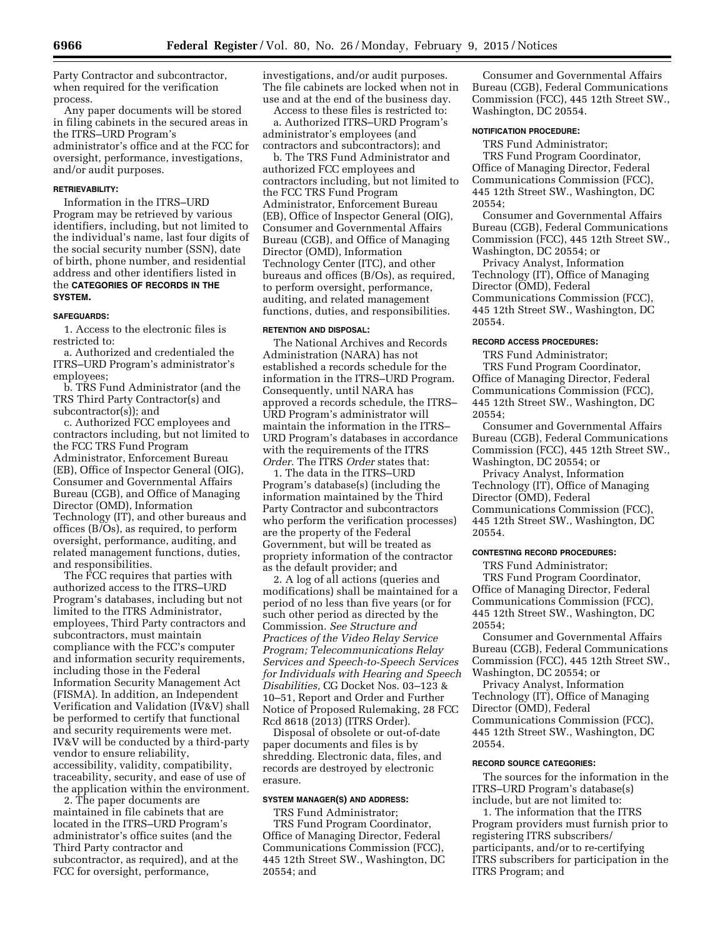Party Contractor and subcontractor, when required for the verification process.

Any paper documents will be stored in filing cabinets in the secured areas in the ITRS–URD Program's administrator's office and at the FCC for oversight, performance, investigations, and/or audit purposes.

# **RETRIEVABILITY:**

Information in the ITRS–URD Program may be retrieved by various identifiers, including, but not limited to the individual's name, last four digits of the social security number (SSN), date of birth, phone number, and residential address and other identifiers listed in the **CATEGORIES OF RECORDS IN THE SYSTEM.** 

### **SAFEGUARDS:**

1. Access to the electronic files is restricted to:

a. Authorized and credentialed the ITRS–URD Program's administrator's employees;

b. TRS Fund Administrator (and the TRS Third Party Contractor(s) and subcontractor(s)); and

c. Authorized FCC employees and contractors including, but not limited to the FCC TRS Fund Program Administrator, Enforcement Bureau (EB), Office of Inspector General (OIG), Consumer and Governmental Affairs Bureau (CGB), and Office of Managing Director (OMD), Information Technology (IT), and other bureaus and offices (B/Os), as required, to perform oversight, performance, auditing, and related management functions, duties, and responsibilities.

The FCC requires that parties with authorized access to the ITRS–URD Program's databases, including but not limited to the ITRS Administrator, employees, Third Party contractors and subcontractors, must maintain compliance with the FCC's computer and information security requirements, including those in the Federal Information Security Management Act (FISMA). In addition, an Independent Verification and Validation (IV&V) shall be performed to certify that functional and security requirements were met. IV&V will be conducted by a third-party vendor to ensure reliability, accessibility, validity, compatibility, traceability, security, and ease of use of the application within the environment.

2. The paper documents are maintained in file cabinets that are located in the ITRS–URD Program's administrator's office suites (and the Third Party contractor and subcontractor, as required), and at the FCC for oversight, performance,

investigations, and/or audit purposes. The file cabinets are locked when not in use and at the end of the business day.

Access to these files is restricted to: a. Authorized ITRS–URD Program's administrator's employees (and contractors and subcontractors); and

b. The TRS Fund Administrator and authorized FCC employees and contractors including, but not limited to the FCC TRS Fund Program Administrator, Enforcement Bureau (EB), Office of Inspector General (OIG), Consumer and Governmental Affairs Bureau (CGB), and Office of Managing Director (OMD), Information Technology Center (ITC), and other bureaus and offices (B/Os), as required, to perform oversight, performance, auditing, and related management functions, duties, and responsibilities.

# **RETENTION AND DISPOSAL:**

The National Archives and Records Administration (NARA) has not established a records schedule for the information in the ITRS–URD Program. Consequently, until NARA has approved a records schedule, the ITRS– URD Program's administrator will maintain the information in the ITRS– URD Program's databases in accordance with the requirements of the ITRS *Order.* The ITRS *Order* states that:

1. The data in the ITRS–URD Program's database(s) (including the information maintained by the Third Party Contractor and subcontractors who perform the verification processes) are the property of the Federal Government, but will be treated as propriety information of the contractor as the default provider; and

2. A log of all actions (queries and modifications) shall be maintained for a period of no less than five years (or for such other period as directed by the Commission. *See Structure and Practices of the Video Relay Service Program; Telecommunications Relay Services and Speech-to-Speech Services for Individuals with Hearing and Speech Disabilities,* CG Docket Nos. 03–123 & 10–51, Report and Order and Further Notice of Proposed Rulemaking, 28 FCC Rcd 8618 (2013) (ITRS Order).

Disposal of obsolete or out-of-date paper documents and files is by shredding. Electronic data, files, and records are destroyed by electronic erasure.

## **SYSTEM MANAGER(S) AND ADDRESS:**

TRS Fund Administrator; TRS Fund Program Coordinator, Office of Managing Director, Federal Communications Commission (FCC), 445 12th Street SW., Washington, DC 20554; and

Consumer and Governmental Affairs Bureau (CGB), Federal Communications Commission (FCC), 445 12th Street SW., Washington, DC 20554.

# **NOTIFICATION PROCEDURE:**

TRS Fund Administrator; TRS Fund Program Coordinator, Office of Managing Director, Federal Communications Commission (FCC), 445 12th Street SW., Washington, DC 20554;

Consumer and Governmental Affairs Bureau (CGB), Federal Communications Commission (FCC), 445 12th Street SW., Washington, DC 20554; or

Privacy Analyst, Information Technology (IT), Office of Managing Director (OMD), Federal Communications Commission (FCC), 445 12th Street SW., Washington, DC 20554.

## **RECORD ACCESS PROCEDURES:**

TRS Fund Administrator; TRS Fund Program Coordinator, Office of Managing Director, Federal Communications Commission (FCC), 445 12th Street SW., Washington, DC 20554;

Consumer and Governmental Affairs Bureau (CGB), Federal Communications Commission (FCC), 445 12th Street SW., Washington, DC 20554; or

Privacy Analyst, Information Technology (IT), Office of Managing Director (OMD), Federal Communications Commission (FCC), 445 12th Street SW., Washington, DC 20554.

#### **CONTESTING RECORD PROCEDURES:**

TRS Fund Administrator;

TRS Fund Program Coordinator, Office of Managing Director, Federal Communications Commission (FCC), 445 12th Street SW., Washington, DC 20554;

Consumer and Governmental Affairs Bureau (CGB), Federal Communications Commission (FCC), 445 12th Street SW., Washington, DC 20554; or

Privacy Analyst, Information Technology (IT), Office of Managing Director (OMD), Federal Communications Commission (FCC), 445 12th Street SW., Washington, DC 20554.

#### **RECORD SOURCE CATEGORIES:**

The sources for the information in the ITRS–URD Program's database(s) include, but are not limited to:

1. The information that the ITRS Program providers must furnish prior to registering ITRS subscribers/ participants, and/or to re-certifying ITRS subscribers for participation in the ITRS Program; and